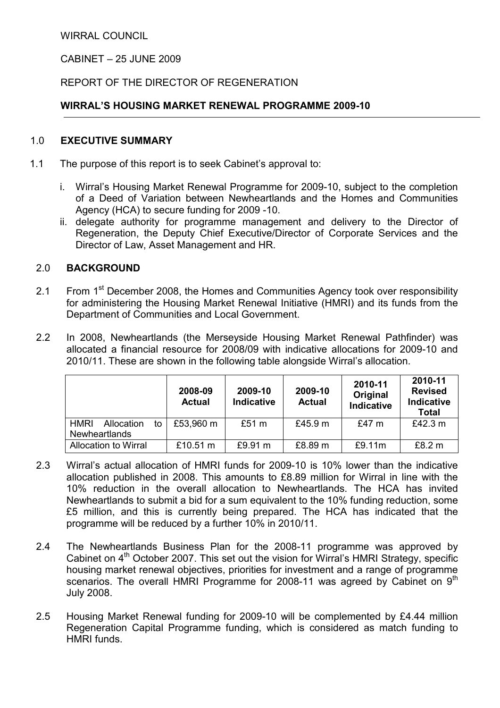WIRRAL COUNCIL

CABINET – 25 JUNE 2009

# REPORT OF THE DIRECTOR OF REGENERATION

# WIRRAL'S HOUSING MARKET RENEWAL PROGRAMME 2009-10

### 1.0 EXECUTIVE SUMMARY

- 1.1 The purpose of this report is to seek Cabinet's approval to:
	- i. Wirral's Housing Market Renewal Programme for 2009-10, subject to the completion of a Deed of Variation between Newheartlands and the Homes and Communities Agency (HCA) to secure funding for 2009 -10.
	- ii. delegate authority for programme management and delivery to the Director of Regeneration, the Deputy Chief Executive/Director of Corporate Services and the Director of Law, Asset Management and HR.

## 2.0 BACKGROUND

- 2.1 From 1<sup>st</sup> December 2008, the Homes and Communities Agency took over responsibility for administering the Housing Market Renewal Initiative (HMRI) and its funds from the Department of Communities and Local Government.
- 2.2 In 2008, Newheartlands (the Merseyside Housing Market Renewal Pathfinder) was allocated a financial resource for 2008/09 with indicative allocations for 2009-10 and 2010/11. These are shown in the following table alongside Wirral's allocation.

|                                  | 2008-09<br><b>Actual</b> | 2009-10<br><b>Indicative</b> | 2009-10<br><b>Actual</b> | 2010-11<br>Original<br><b>Indicative</b> | 2010-11<br><b>Revised</b><br><b>Indicative</b><br><b>Total</b> |
|----------------------------------|--------------------------|------------------------------|--------------------------|------------------------------------------|----------------------------------------------------------------|
| <b>HMRI</b><br>Allocation<br>to. | £53,960 m                | £51 m                        | £45.9 $m$                | £47 $m$                                  | £42.3 m                                                        |
| <b>Newheartlands</b>             |                          |                              |                          |                                          |                                                                |
| Allocation to Wirral             | £10.51 $m$               | £9.91 m                      | £8.89 m                  | £9.11m                                   | £8.2 m                                                         |

- 2.3 Wirral's actual allocation of HMRI funds for 2009-10 is 10% lower than the indicative allocation published in 2008. This amounts to £8.89 million for Wirral in line with the 10% reduction in the overall allocation to Newheartlands. The HCA has invited Newheartlands to submit a bid for a sum equivalent to the 10% funding reduction, some £5 million, and this is currently being prepared. The HCA has indicated that the programme will be reduced by a further 10% in 2010/11.
- 2.4 The Newheartlands Business Plan for the 2008-11 programme was approved by Cabinet on  $4<sup>th</sup>$  October 2007. This set out the vision for Wirral's HMRI Strategy, specific housing market renewal objectives, priorities for investment and a range of programme scenarios. The overall HMRI Programme for 2008-11 was agreed by Cabinet on 9<sup>th</sup> July 2008.
- 2.5 Housing Market Renewal funding for 2009-10 will be complemented by £4.44 million Regeneration Capital Programme funding, which is considered as match funding to HMRI funds.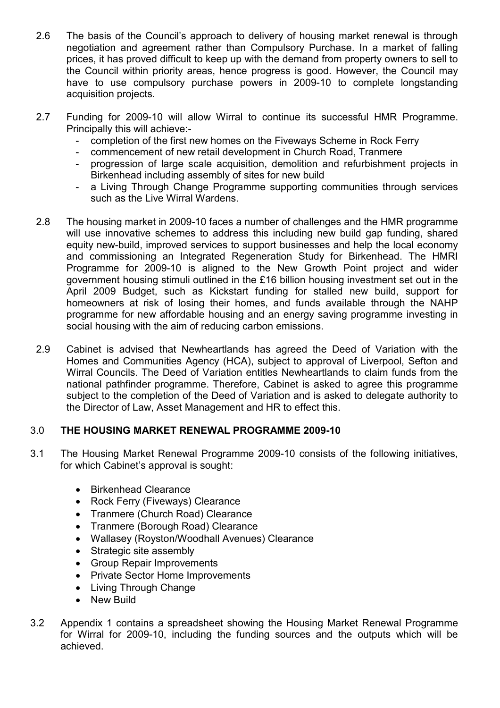- 2.6 The basis of the Council's approach to delivery of housing market renewal is through negotiation and agreement rather than Compulsory Purchase. In a market of falling prices, it has proved difficult to keep up with the demand from property owners to sell to the Council within priority areas, hence progress is good. However, the Council may have to use compulsory purchase powers in 2009-10 to complete longstanding acquisition projects.
- 2.7 Funding for 2009-10 will allow Wirral to continue its successful HMR Programme. Principally this will achieve:-
	- completion of the first new homes on the Fiveways Scheme in Rock Ferry
	- commencement of new retail development in Church Road, Tranmere
	- progression of large scale acquisition, demolition and refurbishment projects in Birkenhead including assembly of sites for new build
	- a Living Through Change Programme supporting communities through services such as the Live Wirral Wardens.
- 2.8 The housing market in 2009-10 faces a number of challenges and the HMR programme will use innovative schemes to address this including new build gap funding, shared equity new-build, improved services to support businesses and help the local economy and commissioning an Integrated Regeneration Study for Birkenhead. The HMRI Programme for 2009-10 is aligned to the New Growth Point project and wider government housing stimuli outlined in the £16 billion housing investment set out in the April 2009 Budget, such as Kickstart funding for stalled new build, support for homeowners at risk of losing their homes, and funds available through the NAHP programme for new affordable housing and an energy saving programme investing in social housing with the aim of reducing carbon emissions.
- 2.9 Cabinet is advised that Newheartlands has agreed the Deed of Variation with the Homes and Communities Agency (HCA), subject to approval of Liverpool, Sefton and Wirral Councils. The Deed of Variation entitles Newheartlands to claim funds from the national pathfinder programme. Therefore, Cabinet is asked to agree this programme subject to the completion of the Deed of Variation and is asked to delegate authority to the Director of Law, Asset Management and HR to effect this.

## 3.0 THE HOUSING MARKET RENEWAL PROGRAMME 2009-10

- 3.1 The Housing Market Renewal Programme 2009-10 consists of the following initiatives, for which Cabinet's approval is sought:
	- Birkenhead Clearance
	- Rock Ferry (Fiveways) Clearance
	- Tranmere (Church Road) Clearance
	- Tranmere (Borough Road) Clearance
	- Wallasey (Royston/Woodhall Avenues) Clearance
	- Strategic site assembly
	- Group Repair Improvements
	- Private Sector Home Improvements
	- Living Through Change
	- New Build
- 3.2 Appendix 1 contains a spreadsheet showing the Housing Market Renewal Programme for Wirral for 2009-10, including the funding sources and the outputs which will be achieved.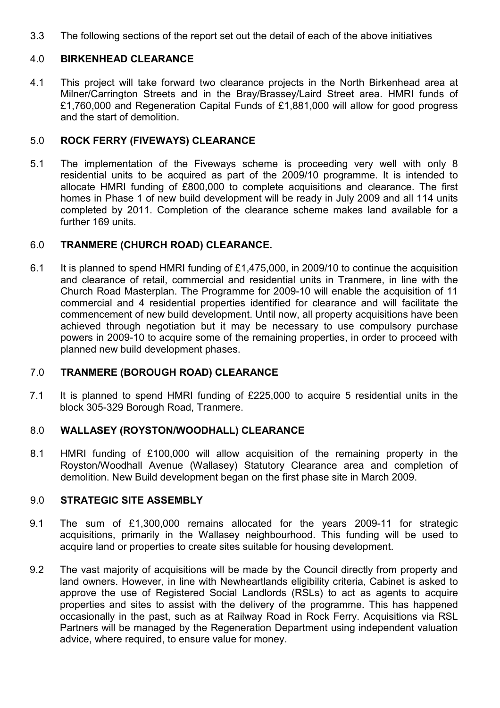3.3 The following sections of the report set out the detail of each of the above initiatives

#### 4.0 BIRKENHEAD CLEARANCE

4.1 This project will take forward two clearance projects in the North Birkenhead area at Milner/Carrington Streets and in the Bray/Brassey/Laird Street area. HMRI funds of £1,760,000 and Regeneration Capital Funds of £1,881,000 will allow for good progress and the start of demolition.

#### 5.0 ROCK FERRY (FIVEWAYS) CLEARANCE

5.1 The implementation of the Fiveways scheme is proceeding very well with only 8 residential units to be acquired as part of the 2009/10 programme. It is intended to allocate HMRI funding of £800,000 to complete acquisitions and clearance. The first homes in Phase 1 of new build development will be ready in July 2009 and all 114 units completed by 2011. Completion of the clearance scheme makes land available for a further 169 units.

## 6.0 TRANMERE (CHURCH ROAD) CLEARANCE.

6.1 It is planned to spend HMRI funding of £1,475,000, in 2009/10 to continue the acquisition and clearance of retail, commercial and residential units in Tranmere, in line with the Church Road Masterplan. The Programme for 2009-10 will enable the acquisition of 11 commercial and 4 residential properties identified for clearance and will facilitate the commencement of new build development. Until now, all property acquisitions have been achieved through negotiation but it may be necessary to use compulsory purchase powers in 2009-10 to acquire some of the remaining properties, in order to proceed with planned new build development phases.

## 7.0 TRANMERE (BOROUGH ROAD) CLEARANCE

7.1 It is planned to spend HMRI funding of £225,000 to acquire 5 residential units in the block 305-329 Borough Road, Tranmere.

## 8.0 WALLASEY (ROYSTON/WOODHALL) CLEARANCE

8.1 HMRI funding of £100,000 will allow acquisition of the remaining property in the Royston/Woodhall Avenue (Wallasey) Statutory Clearance area and completion of demolition. New Build development began on the first phase site in March 2009.

### 9.0 STRATEGIC SITE ASSEMBLY

- 9.1 The sum of £1,300,000 remains allocated for the years 2009-11 for strategic acquisitions, primarily in the Wallasey neighbourhood. This funding will be used to acquire land or properties to create sites suitable for housing development.
- 9.2 The vast majority of acquisitions will be made by the Council directly from property and land owners. However, in line with Newheartlands eligibility criteria, Cabinet is asked to approve the use of Registered Social Landlords (RSLs) to act as agents to acquire properties and sites to assist with the delivery of the programme. This has happened occasionally in the past, such as at Railway Road in Rock Ferry. Acquisitions via RSL Partners will be managed by the Regeneration Department using independent valuation advice, where required, to ensure value for money.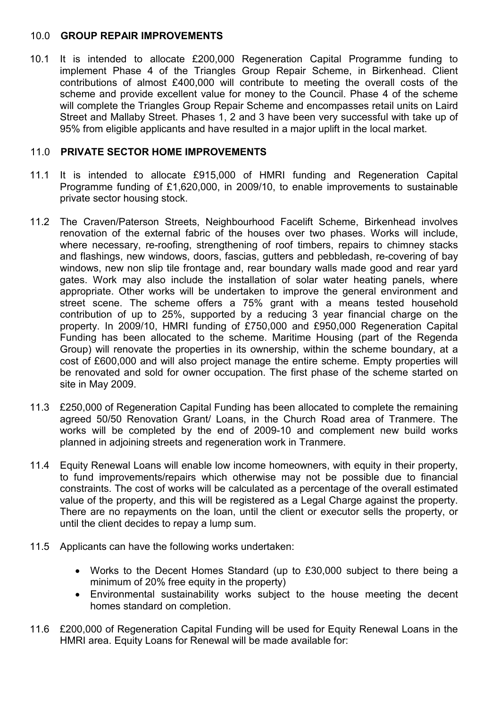## 10.0 GROUP REPAIR IMPROVEMENTS

10.1 It is intended to allocate £200,000 Regeneration Capital Programme funding to implement Phase 4 of the Triangles Group Repair Scheme, in Birkenhead. Client contributions of almost £400,000 will contribute to meeting the overall costs of the scheme and provide excellent value for money to the Council. Phase 4 of the scheme will complete the Triangles Group Repair Scheme and encompasses retail units on Laird Street and Mallaby Street. Phases 1, 2 and 3 have been very successful with take up of 95% from eligible applicants and have resulted in a major uplift in the local market.

## 11.0 PRIVATE SECTOR HOME IMPROVEMENTS

- 11.1 It is intended to allocate £915,000 of HMRI funding and Regeneration Capital Programme funding of £1,620,000, in 2009/10, to enable improvements to sustainable private sector housing stock.
- 11.2 The Craven/Paterson Streets, Neighbourhood Facelift Scheme, Birkenhead involves renovation of the external fabric of the houses over two phases. Works will include, where necessary, re-roofing, strengthening of roof timbers, repairs to chimney stacks and flashings, new windows, doors, fascias, gutters and pebbledash, re-covering of bay windows, new non slip tile frontage and, rear boundary walls made good and rear yard gates. Work may also include the installation of solar water heating panels, where appropriate. Other works will be undertaken to improve the general environment and street scene. The scheme offers a 75% grant with a means tested household contribution of up to 25%, supported by a reducing 3 year financial charge on the property. In 2009/10, HMRI funding of £750,000 and £950,000 Regeneration Capital Funding has been allocated to the scheme. Maritime Housing (part of the Regenda Group) will renovate the properties in its ownership, within the scheme boundary, at a cost of £600,000 and will also project manage the entire scheme. Empty properties will be renovated and sold for owner occupation. The first phase of the scheme started on site in May 2009.
- 11.3 £250,000 of Regeneration Capital Funding has been allocated to complete the remaining agreed 50/50 Renovation Grant/ Loans, in the Church Road area of Tranmere. The works will be completed by the end of 2009-10 and complement new build works planned in adjoining streets and regeneration work in Tranmere.
- 11.4 Equity Renewal Loans will enable low income homeowners, with equity in their property, to fund improvements/repairs which otherwise may not be possible due to financial constraints. The cost of works will be calculated as a percentage of the overall estimated value of the property, and this will be registered as a Legal Charge against the property. There are no repayments on the loan, until the client or executor sells the property, or until the client decides to repay a lump sum.
- 11.5 Applicants can have the following works undertaken:
	- Works to the Decent Homes Standard (up to £30,000 subject to there being a minimum of 20% free equity in the property)
	- Environmental sustainability works subject to the house meeting the decent homes standard on completion.
- 11.6 £200,000 of Regeneration Capital Funding will be used for Equity Renewal Loans in the HMRI area. Equity Loans for Renewal will be made available for: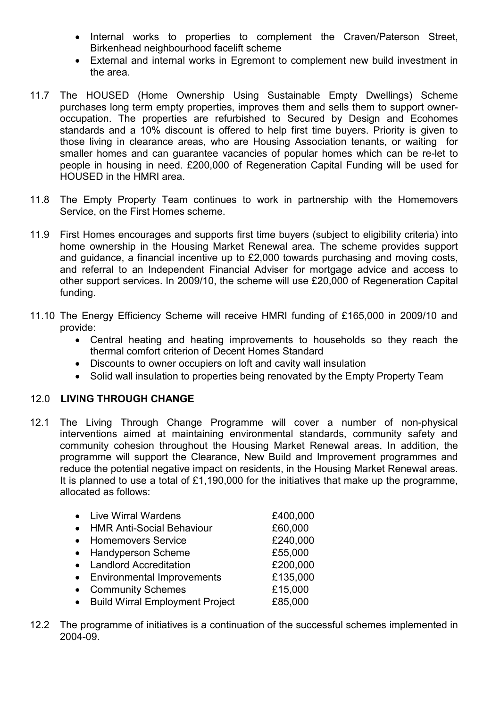- Internal works to properties to complement the Craven/Paterson Street, Birkenhead neighbourhood facelift scheme
- External and internal works in Egremont to complement new build investment in the area.
- 11.7 The HOUSED (Home Ownership Using Sustainable Empty Dwellings) Scheme purchases long term empty properties, improves them and sells them to support owneroccupation. The properties are refurbished to Secured by Design and Ecohomes standards and a 10% discount is offered to help first time buyers. Priority is given to those living in clearance areas, who are Housing Association tenants, or waiting for smaller homes and can guarantee vacancies of popular homes which can be re-let to people in housing in need. £200,000 of Regeneration Capital Funding will be used for HOUSED in the HMRI area.
- 11.8 The Empty Property Team continues to work in partnership with the Homemovers Service, on the First Homes scheme.
- 11.9 First Homes encourages and supports first time buyers (subject to eligibility criteria) into home ownership in the Housing Market Renewal area. The scheme provides support and guidance, a financial incentive up to £2,000 towards purchasing and moving costs, and referral to an Independent Financial Adviser for mortgage advice and access to other support services. In 2009/10, the scheme will use £20,000 of Regeneration Capital funding.
- 11.10 The Energy Efficiency Scheme will receive HMRI funding of £165,000 in 2009/10 and provide:
	- Central heating and heating improvements to households so they reach the thermal comfort criterion of Decent Homes Standard
	- Discounts to owner occupiers on loft and cavity wall insulation
	- Solid wall insulation to properties being renovated by the Empty Property Team

## 12.0 LIVING THROUGH CHANGE

12.1 The Living Through Change Programme will cover a number of non-physical interventions aimed at maintaining environmental standards, community safety and community cohesion throughout the Housing Market Renewal areas. In addition, the programme will support the Clearance, New Build and Improvement programmes and reduce the potential negative impact on residents, in the Housing Market Renewal areas. It is planned to use a total of £1,190,000 for the initiatives that make up the programme, allocated as follows:

| • Live Wirral Wardens             | £400,000 |
|-----------------------------------|----------|
| • HMR Anti-Social Behaviour       | £60,000  |
| • Homemovers Service              | £240,000 |
| • Handyperson Scheme              | £55,000  |
| • Landlord Accreditation          | £200,000 |
| • Environmental Improvements      | £135,000 |
| • Community Schemes               | £15,000  |
| • Build Wirral Employment Project | £85,000  |

12.2 The programme of initiatives is a continuation of the successful schemes implemented in 2004-09.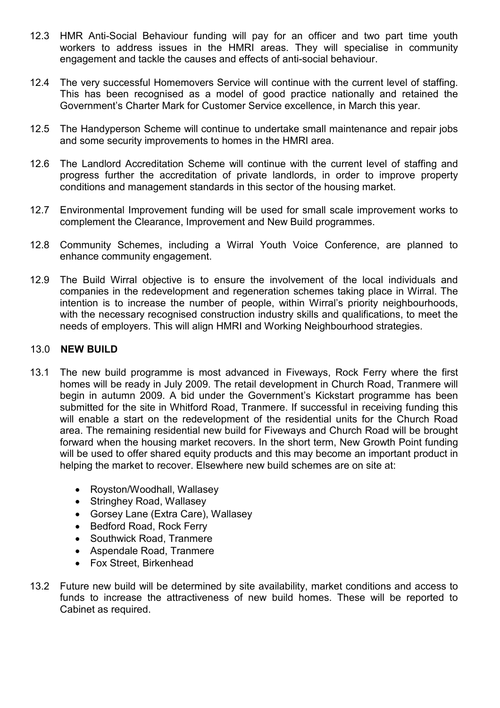- 12.3 HMR Anti-Social Behaviour funding will pay for an officer and two part time youth workers to address issues in the HMRI areas. They will specialise in community engagement and tackle the causes and effects of anti-social behaviour.
- 12.4 The very successful Homemovers Service will continue with the current level of staffing. This has been recognised as a model of good practice nationally and retained the Government's Charter Mark for Customer Service excellence, in March this year.
- 12.5 The Handyperson Scheme will continue to undertake small maintenance and repair jobs and some security improvements to homes in the HMRI area.
- 12.6 The Landlord Accreditation Scheme will continue with the current level of staffing and progress further the accreditation of private landlords, in order to improve property conditions and management standards in this sector of the housing market.
- 12.7 Environmental Improvement funding will be used for small scale improvement works to complement the Clearance, Improvement and New Build programmes.
- 12.8 Community Schemes, including a Wirral Youth Voice Conference, are planned to enhance community engagement.
- 12.9 The Build Wirral objective is to ensure the involvement of the local individuals and companies in the redevelopment and regeneration schemes taking place in Wirral. The intention is to increase the number of people, within Wirral's priority neighbourhoods, with the necessary recognised construction industry skills and qualifications, to meet the needs of employers. This will align HMRI and Working Neighbourhood strategies.

### 13.0 NEW BUILD

- 13.1 The new build programme is most advanced in Fiveways, Rock Ferry where the first homes will be ready in July 2009. The retail development in Church Road, Tranmere will begin in autumn 2009. A bid under the Government's Kickstart programme has been submitted for the site in Whitford Road, Tranmere. If successful in receiving funding this will enable a start on the redevelopment of the residential units for the Church Road area. The remaining residential new build for Fiveways and Church Road will be brought forward when the housing market recovers. In the short term, New Growth Point funding will be used to offer shared equity products and this may become an important product in helping the market to recover. Elsewhere new build schemes are on site at:
	- Royston/Woodhall, Wallasey
	- Stringhey Road, Wallasey
	- Gorsey Lane (Extra Care), Wallasey
	- Bedford Road, Rock Ferry
	- Southwick Road, Tranmere
	- Aspendale Road, Tranmere
	- Fox Street, Birkenhead
- 13.2 Future new build will be determined by site availability, market conditions and access to funds to increase the attractiveness of new build homes. These will be reported to Cabinet as required.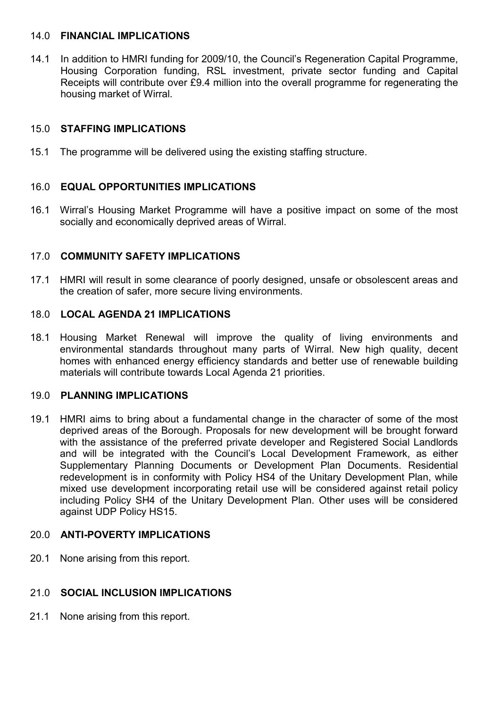### 14.0 FINANCIAL IMPLICATIONS

14.1 In addition to HMRI funding for 2009/10, the Council's Regeneration Capital Programme, Housing Corporation funding, RSL investment, private sector funding and Capital Receipts will contribute over £9.4 million into the overall programme for regenerating the housing market of Wirral.

# 15.0 STAFFING IMPLICATIONS

15.1 The programme will be delivered using the existing staffing structure.

# 16.0 EQUAL OPPORTUNITIES IMPLICATIONS

16.1 Wirral's Housing Market Programme will have a positive impact on some of the most socially and economically deprived areas of Wirral.

# 17.0 COMMUNITY SAFETY IMPLICATIONS

17.1 HMRI will result in some clearance of poorly designed, unsafe or obsolescent areas and the creation of safer, more secure living environments.

## 18.0 LOCAL AGENDA 21 IMPLICATIONS

18.1 Housing Market Renewal will improve the quality of living environments and environmental standards throughout many parts of Wirral. New high quality, decent homes with enhanced energy efficiency standards and better use of renewable building materials will contribute towards Local Agenda 21 priorities.

## 19.0 PLANNING IMPLICATIONS

19.1 HMRI aims to bring about a fundamental change in the character of some of the most deprived areas of the Borough. Proposals for new development will be brought forward with the assistance of the preferred private developer and Registered Social Landlords and will be integrated with the Council's Local Development Framework, as either Supplementary Planning Documents or Development Plan Documents. Residential redevelopment is in conformity with Policy HS4 of the Unitary Development Plan, while mixed use development incorporating retail use will be considered against retail policy including Policy SH4 of the Unitary Development Plan. Other uses will be considered against UDP Policy HS15.

## 20.0 ANTI-POVERTY IMPLICATIONS

20.1 None arising from this report.

## 21.0 SOCIAL INCLUSION IMPLICATIONS

21.1 None arising from this report.